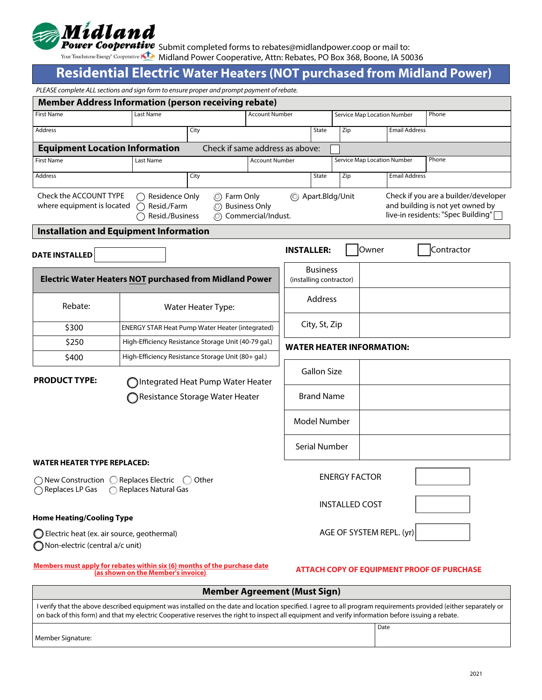

Submit completed forms to rebates@midlandpower.coop or mail to:

Midland Power Cooperative, Attn: Rebates, PO Box 368, Boone, IA 50036

# **Residential Electric Water Heaters (NOT purchased from Midland Power)**

| PLEASE complete ALL sections and sign form to ensure proper and prompt payment of rebate.                                                                                                                                                                                                                              |                                                      | <u>.    , .</u> .               |                                                   |                                  |                                    |                          |                      |                      |                                                                                                                |
|------------------------------------------------------------------------------------------------------------------------------------------------------------------------------------------------------------------------------------------------------------------------------------------------------------------------|------------------------------------------------------|---------------------------------|---------------------------------------------------|----------------------------------|------------------------------------|--------------------------|----------------------|----------------------|----------------------------------------------------------------------------------------------------------------|
| <b>Member Address Information (person receiving rebate)</b>                                                                                                                                                                                                                                                            |                                                      |                                 |                                                   |                                  |                                    |                          |                      |                      |                                                                                                                |
| <b>First Name</b>                                                                                                                                                                                                                                                                                                      | <b>Account Number</b>                                |                                 |                                                   |                                  | Service Map Location Number        |                          |                      | Phone                |                                                                                                                |
| Address                                                                                                                                                                                                                                                                                                                |                                                      | City                            |                                                   | State                            |                                    | Zip                      | <b>Email Address</b> |                      |                                                                                                                |
| <b>Equipment Location Information</b>                                                                                                                                                                                                                                                                                  |                                                      | Check if same address as above: |                                                   |                                  |                                    |                          |                      |                      |                                                                                                                |
| <b>First Name</b>                                                                                                                                                                                                                                                                                                      | <b>Account Number</b>                                |                                 |                                                   |                                  | <b>Service Map Location Number</b> |                          | Phone                |                      |                                                                                                                |
| <b>Address</b>                                                                                                                                                                                                                                                                                                         |                                                      | City                            |                                                   |                                  | State                              | Zip                      |                      | <b>Email Address</b> |                                                                                                                |
| Check the ACCOUNT TYPE<br>◯ Residence Only<br>(C) Farm Only<br>where equipment is located<br>O Business Only<br>Resid./Farm<br>Resid./Business<br>(O) Commercial/Indust.                                                                                                                                               |                                                      |                                 |                                                   |                                  | (C) Apart.Bldg/Unit                |                          |                      |                      | Check if you are a builder/developer<br>and building is not yet owned by<br>live-in residents: "Spec Building" |
| <b>Installation and Equipment Information</b>                                                                                                                                                                                                                                                                          |                                                      |                                 |                                                   |                                  |                                    |                          |                      |                      |                                                                                                                |
| <b>DATE INSTALLED</b>                                                                                                                                                                                                                                                                                                  |                                                      |                                 |                                                   | <b>INSTALLER:</b>                |                                    |                          | Owner                |                      | Contractor                                                                                                     |
| <b>Electric Water Heaters NOT purchased from Midland Power</b>                                                                                                                                                                                                                                                         |                                                      |                                 |                                                   | (installing contractor)          | <b>Business</b>                    |                          |                      |                      |                                                                                                                |
| Rebate:                                                                                                                                                                                                                                                                                                                | Water Heater Type:                                   |                                 |                                                   |                                  | Address                            |                          |                      |                      |                                                                                                                |
| \$300                                                                                                                                                                                                                                                                                                                  | ENERGY STAR Heat Pump Water Heater (integrated)      |                                 |                                                   |                                  | City, St, Zip                      |                          |                      |                      |                                                                                                                |
| \$250                                                                                                                                                                                                                                                                                                                  | High-Efficiency Resistance Storage Unit (40-79 gal.) |                                 |                                                   | <b>WATER HEATER INFORMATION:</b> |                                    |                          |                      |                      |                                                                                                                |
| \$400                                                                                                                                                                                                                                                                                                                  | High-Efficiency Resistance Storage Unit (80+ gal.)   |                                 |                                                   |                                  |                                    |                          |                      |                      |                                                                                                                |
| <b>PRODUCT TYPE:</b><br>Integrated Heat Pump Water Heater                                                                                                                                                                                                                                                              |                                                      |                                 |                                                   |                                  | <b>Gallon Size</b>                 |                          |                      |                      |                                                                                                                |
| Resistance Storage Water Heater                                                                                                                                                                                                                                                                                        |                                                      |                                 |                                                   | <b>Brand Name</b>                |                                    |                          |                      |                      |                                                                                                                |
|                                                                                                                                                                                                                                                                                                                        |                                                      |                                 |                                                   |                                  | Model Number                       |                          |                      |                      |                                                                                                                |
|                                                                                                                                                                                                                                                                                                                        |                                                      |                                 |                                                   |                                  | Serial Number                      |                          |                      |                      |                                                                                                                |
| WATER HEATER TYPE REPLACED:<br>$\bigcirc$ New Construction $\bigcirc$ Replaces Electric<br>Other<br>$\left( \begin{array}{c} \end{array} \right)$<br>◯ Replaces LP Gas<br>Replaces Natural Gas                                                                                                                         |                                                      |                                 | <b>ENERGY FACTOR</b>                              |                                  |                                    |                          |                      |                      |                                                                                                                |
|                                                                                                                                                                                                                                                                                                                        |                                                      |                                 | <b>INSTALLED COST</b>                             |                                  |                                    |                          |                      |                      |                                                                                                                |
| <b>Home Heating/Cooling Type</b>                                                                                                                                                                                                                                                                                       |                                                      |                                 |                                                   |                                  |                                    |                          |                      |                      |                                                                                                                |
| Electric heat (ex. air source, geothermal)<br>Non-electric (central a/c unit)                                                                                                                                                                                                                                          |                                                      |                                 |                                                   |                                  |                                    | AGE OF SYSTEM REPL. (yr) |                      |                      |                                                                                                                |
| Members must apply for rebates within six (6) months of the purchase date<br>(as shown on the Member's invoice).                                                                                                                                                                                                       |                                                      |                                 | <b>ATTACH COPY OF EQUIPMENT PROOF OF PURCHASE</b> |                                  |                                    |                          |                      |                      |                                                                                                                |
| <b>Member Agreement (Must Sign)</b>                                                                                                                                                                                                                                                                                    |                                                      |                                 |                                                   |                                  |                                    |                          |                      |                      |                                                                                                                |
| I verify that the above described equipment was installed on the date and location specified. I agree to all program requirements provided (either separately or<br>on back of this form) and that my electric Cooperative reserves the right to inspect all equipment and verify information before issuing a rebate. |                                                      |                                 |                                                   |                                  |                                    |                          |                      |                      |                                                                                                                |

Member Signature:

Date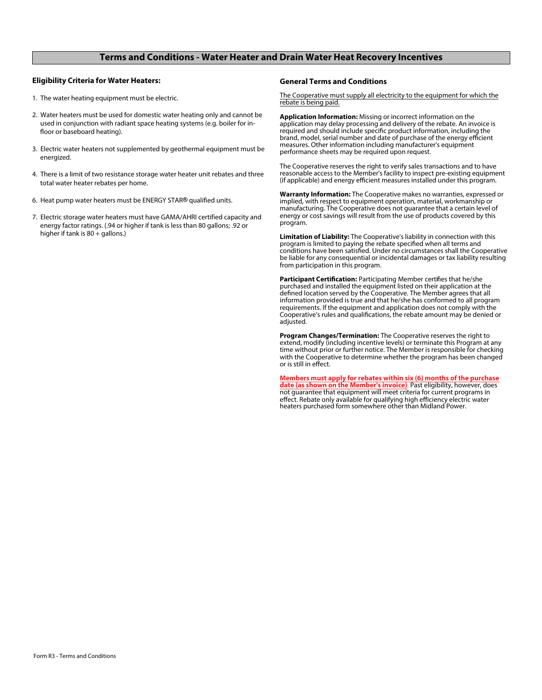### **Terms and Conditions - Water Heater and Drain Water Heat Recovery Incentives**

#### **Eligibility Criteria for Water Heaters:**

- 1. The water heating equipment must be electric.
- 2. Water heaters must be used for domestic water heating only and cannot be used in conjunction with radiant space heating systems (e.g. boiler for in floor or baseboard heating).
- 3. Electric water heaters not supplemented by geothermal equipment must be energized.
- 4. There is a limit of two resistance storage water heater unit rebates and three total water heater rebates per home.
- 6. Heat pump water heaters must be ENERGY STAR<sup>®</sup> qualified units.
- 7. Electric storage water heaters must have GAMA/AHRI certified capacity and energy factor ratings. (.94 or higher if tank is less than 80 gallons; .92 or higher if tank is  $80 +$  gallons.)

#### **General Terms and Conditions**

The Cooperative must supply all electricity to the equipment for which the rebate is being paid.

**Application Information:** Missing or incorrect information on the application may delay processing and delivery of the rebate. An invoice is required and should include specific product information, including the brand, model, serial number and date of purchase of the energy efficient measures. Other information including manufacturer's equipment performance sheets may be required upon request.

The Cooperative reserves the right to verify sales transactions and to have reasonable access to the Member's facility to inspect pre-existing equipment (if applicable) and energy efficient measures installed under this program.

**Warranty Information:** The Cooperative makes no warranties, expressed or implied, with respect to equipment operation, material, workmanship or manufacturing. The Cooperative does not guarantee that a certain level of energy or cost savings will result from the use of products covered by this program.

**Limitation of Liability:** The Cooperative's liability in connection with this program is limited to paying the rebate specified when all terms and conditions have been satisfied. Under no circumstances shall the Cooperative be liable for any consequential or incidental damages or tax liability resulting from participation in this program.

Participant Certification: Participating Member certifies that he/she purchased and installed the equipment listed on their application at the defined location served by the Cooperative. The Member agrees that all information provided is true and that he/she has conformed to all program requirements. If the equipment and application does not comply with the Cooperative's rules and qualifications, the rebate amount may be denied or adjusted.

**Program Changes/Termination:** The Cooperative reserves the right to extend, modify (including incentive levels) or terminate this Program at any time without prior or further notice. The Member is responsible for checking with the Cooperative to determine whether the program has been changed or is still in effect.

**Members must apply for rebates within six (6) months of the purchase date (as shown on the Member's invoice)**. Past eligibility, however, does not guarantee that equipment will meet criteria for current programs in effect. Rebate only available for qualifying high efficiency electric water heaters purchased form somewhere other than Midland Power.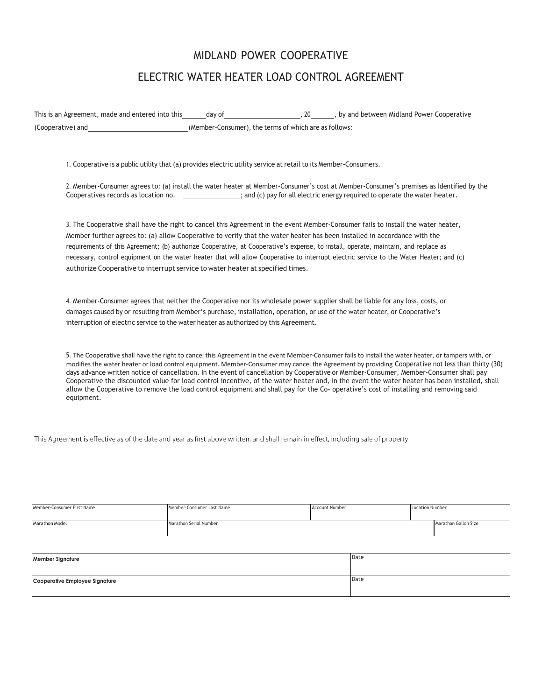# MIDLAND POWER COOPERATIVE ELECTRIC WATER HEATER LOAD CONTROL AGREEMENT

This is an Agreement, made and entered into this day of , 20 , by and between Midland Power Cooperative (Cooperative) and (Member-Consumer), the terms of which are as follows:

1. Cooperative is a public utility that (a) provides electric utility service at retail to its Member-Consumers.

2. Member-Consumer agrees to: (a) install the water heater at Member-Consumer's cost at Member-Consumer's premises as Identified by the Cooperatives records as location no. \_\_\_\_\_\_\_\_\_\_\_\_\_\_\_; and (c) pay for all electric energy required to operate the water heater.

3. The Cooperative shall have the right to cancel this Agreement in the event Member-Consumer fails to install the water heater, Member further agrees to: (a) allow Cooperative to verify that the water heater has been installed in accordance with the requirements of this Agreement; (b) authorize Cooperative, at Cooperative's expense, to install, operate, maintain, and replace as necessary, control equipment on the water heater that will allow Cooperative to interrupt electric service to the Water Heater; and (c) authorize Cooperative to interrupt service to water heater at specified times.

4. Member-Consumer agrees that neither the Cooperative nor its wholesale power supplier shall be liable for any loss, costs, or damages caused by or resulting from Member's purchase, installation, operation, or use of the water heater, or Cooperative's interruption of electric service to the water heater as authorized by this Agreement.

5. The Cooperative shall have the right to cancel this Agreement in the event Member-Consumer fails to install the water heater, or tampers with, or modifies the water heater or load control equipment. Member-Consumer may cancel the Agreement by providing Cooperative not less than thirty (30) days advance written notice of cancellation. In the event of cancellation by Cooperative or Member-Consumer, Member-Consumer shall pay Cooperative the discounted value for load control incentive, of the water heater and, in the event the water heater has been installed, shall allow the Cooperative to remove the load control equipment and shall pay for the Co- operative's cost of installing and removing said equipment.

This Agreement is effective as of the date and year as first above written, and shall remain in effect, including sale of property

| Member-Consumer First Name | Member-Consumer Last Name | <b>Account Number</b> | <b>Location Number</b> |  |
|----------------------------|---------------------------|-----------------------|------------------------|--|
|                            |                           |                       |                        |  |
| Marathon Model             | Marathon Serial Number    |                       | Marathon Gallon Size   |  |
|                            |                           |                       |                        |  |

| <b>Member Signature</b>        | Date |
|--------------------------------|------|
| Cooperative Employee Signature | Date |